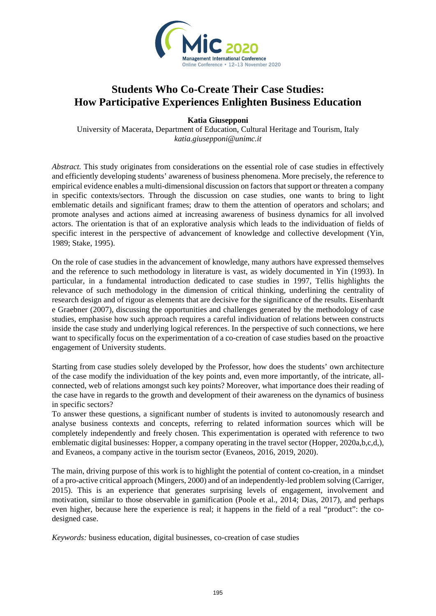

## **Students Who Co-Create Their Case Studies: How Participative Experiences Enlighten Business Education**

**Katia Giusepponi** 

University of Macerata, Department of Education, Cultural Heritage and Tourism, Italy *katia.giusepponi@unimc.it*

*Abstract.* This study originates from considerations on the essential role of case studies in effectively and efficiently developing students' awareness of business phenomena. More precisely, the reference to empirical evidence enables a multi-dimensional discussion on factors that support or threaten a company in specific contexts/sectors. Through the discussion on case studies, one wants to bring to light emblematic details and significant frames; draw to them the attention of operators and scholars; and promote analyses and actions aimed at increasing awareness of business dynamics for all involved actors. The orientation is that of an explorative analysis which leads to the individuation of fields of specific interest in the perspective of advancement of knowledge and collective development (Yin, 1989; Stake, 1995).

On the role of case studies in the advancement of knowledge, many authors have expressed themselves and the reference to such methodology in literature is vast, as widely documented in Yin (1993). In particular, in a fundamental introduction dedicated to case studies in 1997, Tellis highlights the relevance of such methodology in the dimension of critical thinking, underlining the centrality of research design and of rigour as elements that are decisive for the significance of the results. Eisenhardt e Graebner (2007), discussing the opportunities and challenges generated by the methodology of case studies, emphasise how such approach requires a careful individuation of relations between constructs inside the case study and underlying logical references. In the perspective of such connections, we here want to specifically focus on the experimentation of a co-creation of case studies based on the proactive engagement of University students.

Starting from case studies solely developed by the Professor, how does the students' own architecture of the case modify the individuation of the key points and, even more importantly, of the intricate, allconnected, web of relations amongst such key points? Moreover, what importance does their reading of the case have in regards to the growth and development of their awareness on the dynamics of business in specific sectors?

To answer these questions, a significant number of students is invited to autonomously research and analyse business contexts and concepts, referring to related information sources which will be completely independently and freely chosen. This experimentation is operated with reference to two emblematic digital businesses: Hopper, a company operating in the travel sector (Hopper, 2020a,b,c,d,), and Evaneos, a company active in the tourism sector (Evaneos, 2016, 2019, 2020).

The main, driving purpose of this work is to highlight the potential of content co-creation, in a mindset of a pro-active critical approach (Mingers, 2000) and of an independently-led problem solving (Carriger, 2015). This is an experience that generates surprising levels of engagement, involvement and motivation, similar to those observable in gamification (Poole et al., 2014; Dias, 2017), and perhaps even higher, because here the experience is real; it happens in the field of a real "product": the codesigned case.

*Keywords:* business education, digital businesses, co-creation of case studies